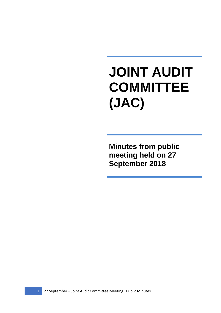## **JOINT AUDIT COMMITTEE (JAC)**

**Minutes from public meeting held on 27 September 2018**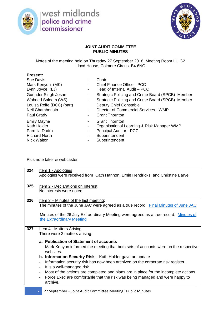

west midlands<br>police and crime commissioner



## **JOINT AUDIT COMMITTEE PUBLIC MINUTES**

Notes of the meeting held on Thursday 27 September 2018, Meeting Room LH G2 Lloyd House, Colmore Circus, B4 6NQ

| <b>Present:</b>           |                          |                                                  |
|---------------------------|--------------------------|--------------------------------------------------|
| <b>Sue Davis</b>          | $\overline{\phantom{a}}$ | Chair                                            |
| Mark Kenyon (MK)          | $\overline{\phantom{a}}$ | <b>Chief Finance Officer- PCC</b>                |
| Lynn Joyce (LJ)           | -                        | Head of Internal Audit – PCC                     |
| Gurinder Singh Josan      | -                        | Strategic Policing and Crime Board (SPCB) Member |
| Waheed Saleem (WS)        | $\overline{\phantom{a}}$ | Strategic Policing and Crime Board (SPCB) Member |
| Louisa Rolfe (DCC) (part) |                          | Deputy Chief Constable                           |
| Neil Chamberlain          | ۰.                       | Director of Commercial Services - WMP            |
| Paul Grady                | $\overline{\phantom{a}}$ | <b>Grant Thornton</b>                            |
| <b>Emily Mayne</b>        | $\overline{\phantom{a}}$ | <b>Grant Thornton</b>                            |
| Kath Holder               | $\overline{\phantom{a}}$ | Organisational Learning & Risk Manager WMP       |
| Parmila Dadra             | -                        | <b>Principal Auditor - PCC</b>                   |
| <b>Richard North</b>      | $\overline{\phantom{a}}$ | Superintendent                                   |
| <b>Nick Walton</b>        |                          | Superintendent                                   |

Plus note taker & webcaster

| 324 | <u>Item 1 - Apologies</u><br>Apologies were received from Cath Hannon, Ernie Hendricks, and Christine Barve                                                                                                                                                                                                                                                                                                                                                                                                                                                                                                                                                                                                 |
|-----|-------------------------------------------------------------------------------------------------------------------------------------------------------------------------------------------------------------------------------------------------------------------------------------------------------------------------------------------------------------------------------------------------------------------------------------------------------------------------------------------------------------------------------------------------------------------------------------------------------------------------------------------------------------------------------------------------------------|
| 325 | Item 2 - Declarations on Interest<br>No interests were noted.                                                                                                                                                                                                                                                                                                                                                                                                                                                                                                                                                                                                                                               |
| 326 | <u>Item 3 – Minutes of the last meeting:</u><br>The minutes of the June JAC were agreed as a true record. Final Minutes of June JAC<br>Minutes of the 26 July Extraordinary Meeting were agreed as a true record. Minutes of<br>the Extraordinary Meeting                                                                                                                                                                                                                                                                                                                                                                                                                                                   |
| 327 | <b>Item 4 - Matters Arising</b><br>There were 2 matters arising:<br>a. Publication of Statement of accounts<br>Mark Kenyon informed the meeting that both sets of accounts were on the respective<br>websites.<br><b>b. Information Security Risk – Kath Holder gave an update</b><br>Information security risk has now been archived on the corporate risk register.<br>$\qquad \qquad \blacksquare$<br>It is a well-managed risk.<br>$\overline{\phantom{a}}$<br>Most of the actions are completed and plans are in place for the incomplete actions.<br>$\overline{\phantom{a}}$<br>Force Exec are comfortable that the risk was being managed and were happy to<br>$\overline{\phantom{a}}$<br>archive. |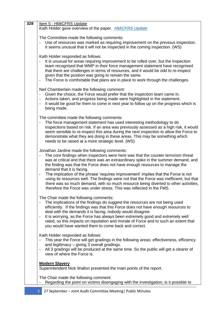| 328 | Item 5 - HMICFRS Update<br>Kath Holder gave overview of the paper. <b>HMICFRS Update</b>                                                                                                                                                                                                                                                                                                                                                                                                                                                                                                                                                                                                    |
|-----|---------------------------------------------------------------------------------------------------------------------------------------------------------------------------------------------------------------------------------------------------------------------------------------------------------------------------------------------------------------------------------------------------------------------------------------------------------------------------------------------------------------------------------------------------------------------------------------------------------------------------------------------------------------------------------------------|
|     | The Committee made the following comments:<br>Use of resources was marked as requiring improvement on the previous inspection.<br>It seems unusual that it will not be inspected in the coming inspection. (WS)                                                                                                                                                                                                                                                                                                                                                                                                                                                                             |
|     | Kath Holder responded as follows:<br>It is unusual for areas requiring improvement to be rolled over, but the inspection<br>team recognised that WMP in their force management statement have recognised<br>that there are challenges in terms of resources, and it would be odd to re-inspect<br>given that the position was going to remain the same.<br>The Force is comfortable that plans are in place to work through the challenges.<br>$\overline{\phantom{a}}$                                                                                                                                                                                                                     |
|     | Neil Chamberlain made the following comment:<br>Given the choice, the Force would prefer that the inspection team came in.<br>Actions taken, and progress being made were highlighted in the statement.<br>It would be good for them to come in next year to follow up on the progress which is<br>being made.                                                                                                                                                                                                                                                                                                                                                                              |
|     | The committee made the following comments:<br>The force management statement has used interesting methodology to do<br>inspections based on risk. If an area was previously assessed as a high risk, it would<br>seem sensible to re-inspect this area during the next inspection to allow the Force to<br>demonstrate what they are doing in these areas. This may be something which<br>needs to be raised at a more strategic level. (WS)                                                                                                                                                                                                                                                |
|     | Jonathan Jardine made the following comments:<br>The core findings when inspectors were here was that the counter terrorism threat<br>was at critical and that there was an extraordinary spike in the summer demand, and<br>the finding was that the Force does not have enough resources to manage the<br>demand that it is facing.<br>The implication of the phrase 'requires improvement' implies that the Force is not<br>-<br>using its resources well. The findings were not that the Force was inefficient, but that<br>there was so much demand, with so much resource being diverted to other activities,<br>therefore the Force was under stress. This was reflected in the FMS. |
|     | The Chair made the following comments:<br>The implications of the findings do suggest the resources are not being used<br>efficiently. If the findings was that this Force does not have enough resources to<br>deal with the demands it is facing, nobody would disagree.<br>It is worrying, as the Force has always been extremely good and extremely well<br>rated, so this impacts on reputation and morale of Force and to such an extent that<br>you would have wanted them to come back and correct.                                                                                                                                                                                 |
|     | Kath Holder responded as follows:<br>This year the Force will get gradings in the following areas: effectiveness, efficiency<br>and legitimacy – giving 3 overall gradings.<br>All 3 gradings will be produced at the same time. So the public will get a clearer of<br>view of where the Force is.                                                                                                                                                                                                                                                                                                                                                                                         |
|     | <b>Modern Slavery</b><br>Superintendent Nick Walton presented the main points of the report.                                                                                                                                                                                                                                                                                                                                                                                                                                                                                                                                                                                                |
|     | The Chair made the following comment:<br>Regarding the point on victims disengaging with the investigation, is it possible to                                                                                                                                                                                                                                                                                                                                                                                                                                                                                                                                                               |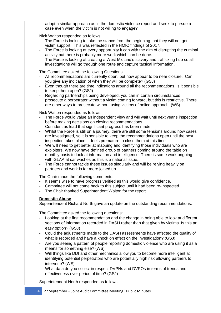adopt a similar approach as in the domestic violence report and seek to pursue a case even when the victim is not willing to engage?

Nick Walton responded as follows:

- The Force is looking to take the stance from the beginning that they will not get victim support. This was reflected in the HMIC findings of 2017.
- The Force is looking at every opportunity it can with the aim of disrupting the criminal activity but there is probably more work which can be done.
- The Force is looking at creating a West Midland's slavery and trafficking hub so all investigations will go through one route and capture tactical information.

The Committee asked the following Questions:

- All recommendations are currently open, but now appear to be near closure. Can you give any indication of when they will be complete? (GSJ)
- Even though there are time indications around all the recommendations, is it sensible to keep them open? (GSJ)
- Regarding partnerships being developed, you can in certain circumstances prosecute a perpetrator without a victim coming forward, but this is restrictive. There are other ways to prosecute without using victims of police approach. (WS)

Nick Walton responded as follows:

- The Force would value an independent view and will wait until next year's inspection before making decisions on closing recommendations.
- Confident as lead that significant progress has been made.
- Whilst the Force is still on a journey, there are still some tensions around how cases are investigated, so it is sensible to keep the recommendations open until the next inspection takes place. It feels premature to close them at this time.
- We will need to get better at mapping and identifying those individuals who are exploiters. We now have defined group of partners coming around the table on monthly basis to look at information and intelligence. There is some work ongoing with GLAA at car washes as this is a national issue.
- The Force cannot tackle these issues singularly and will be relying heavily on partners and work is far more joined up.

The Chair made the following comments:

- It seems wise to have progress verified as this would give confidence.
- Committee will not come back to this subject until it had been re-inspected.
- The Chair thanked Superintendent Walton for the report.

## **Domestic Abuse**

Superintendent Richard North gave an update on the outstanding recommendations.

The Committee asked the following questions:

- Looking at the first recommendation and the change in being able to look at different sections of information recorded in DASH rather than that given by victims. Is this an easy option? (GSJ)
- Could the adjustments made to the DASH assessments have affected the quality of what is recorded and have a knock on effect on the investigation? (GSJ)
- Are you seeing a pattern of people reporting domestic violence who are using it as a means for something else? (WS)
- Will things like DDI and other mechanics allow you to become more intelligent at identifying potential perpetrators who are potentially high risk allowing partners to intervene? (WS)
- What data do you collect in respect DVPNs and DVPOs in terms of trends and effectiveness over period of time? (GSJ)

Superintendent North responded as follows: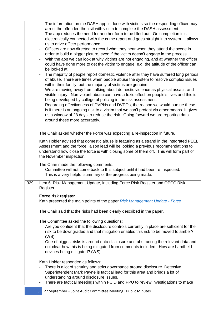|     | The information on the DASH app is done with victims so the responding officer may<br>arrest the offender, then sit with victim to complete the DASH assessment.<br>The app reduces the need for another form to be filled out. On completion it is<br>$\overline{\phantom{0}}$<br>electronically connected with the crime report and goes straight into system. It allows<br>us to drive officer performance.<br>Officers are now directed to record what they hear when they attend the scene in<br>$\overline{\phantom{a}}$<br>order to build a bigger picture, even if the victim doesn't engage in the process.<br>With the app we can look at why victims are not engaging, and at whether the officer<br>$\overline{\phantom{0}}$<br>could have done more to get the victim to engage, e.g. the attitude of the officer can<br>be looked at.<br>The majority of people report domestic violence after they have suffered long periods<br>$\overline{\phantom{0}}$ |
|-----|--------------------------------------------------------------------------------------------------------------------------------------------------------------------------------------------------------------------------------------------------------------------------------------------------------------------------------------------------------------------------------------------------------------------------------------------------------------------------------------------------------------------------------------------------------------------------------------------------------------------------------------------------------------------------------------------------------------------------------------------------------------------------------------------------------------------------------------------------------------------------------------------------------------------------------------------------------------------------|
|     | of abuse. There are times when people abuse the system to resolve complex issues<br>within their family, but the majority of victims are genuine.<br>We are moving away from talking about domestic violence as physical assault and<br>$\overline{\phantom{0}}$<br>visible injury. Non-violent abuse can have a toxic effect on people's lives and this is<br>being developed by college of policing in the risk assessment.<br>Regarding effectiveness of DVPNs and DVPOs, the reason we would pursue these<br>$\qquad \qquad \blacksquare$<br>is if there is an ongoing risk to a victim that we can't protect via other means. It gives<br>us a window of 28 days to reduce the risk. Going forward we are reporting data<br>around these more accurately.                                                                                                                                                                                                           |
|     | The Chair asked whether the Force was expecting a re-inspection in future.<br>Kath Holder advised that domestic abuse is featuring as a strand in the Integrated PEEL<br>Assessment and the force liaison lead will be looking a previous recommendations to<br>understand how close the force is with closing some of them off. This will form part of<br>the November inspection.                                                                                                                                                                                                                                                                                                                                                                                                                                                                                                                                                                                      |
|     | The Chair made the following comments:<br>Committee will not come back to this subject until it had been re-inspected.<br>This is a very helpful summary of the progress being made.<br>-                                                                                                                                                                                                                                                                                                                                                                                                                                                                                                                                                                                                                                                                                                                                                                                |
| 329 | Item 6 Risk Management Update, including Force Risk Register and OPCC Risk<br>Register                                                                                                                                                                                                                                                                                                                                                                                                                                                                                                                                                                                                                                                                                                                                                                                                                                                                                   |
|     | Force risk register<br>Kath presented the main points of the paper Risk Management Update - Force                                                                                                                                                                                                                                                                                                                                                                                                                                                                                                                                                                                                                                                                                                                                                                                                                                                                        |
|     | The Chair said that the risks had been clearly described in the paper.                                                                                                                                                                                                                                                                                                                                                                                                                                                                                                                                                                                                                                                                                                                                                                                                                                                                                                   |
|     | The Committee asked the following questions:<br>Are you confident that the disclosure controls currently in place are sufficient for the<br>risk to be downgraded and that mitigation enables this risk to be moved to amber?<br>(WS)                                                                                                                                                                                                                                                                                                                                                                                                                                                                                                                                                                                                                                                                                                                                    |
|     | One of biggest risks is around data disclosure and abstracting the relevant data and<br>$\overline{\phantom{a}}$<br>not clear how this is being mitigated from comments included. How are handheld<br>devices being mitigated? (WS)                                                                                                                                                                                                                                                                                                                                                                                                                                                                                                                                                                                                                                                                                                                                      |
|     | Kath Holder responded as follows:<br>There is a lot of scrutiny and strict governance around disclosure. Detective<br>-<br>Superintendent Mark Payne is tactical lead for this area and brings a lot of<br>understanding around disclosure issues.<br>There are tactical meetings within FCID and PPU to review investigations to make<br>$\overline{\phantom{a}}$                                                                                                                                                                                                                                                                                                                                                                                                                                                                                                                                                                                                       |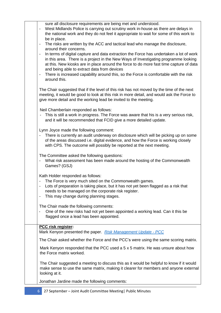| sure all disclosure requirements are being met and understood.<br>West Midlands Police is carrying out scrutiny work in-house as there are delays in<br>$\overline{\phantom{0}}$<br>the national work and they do not feel it appropriate to wait for some of this work to<br>be in place.<br>The risks are written by the ACC and tactical lead who manage the disclosure,<br>$\overline{\phantom{0}}$<br>around their concerns.<br>In terms of digital capture and data extraction the Force has undertaken a lot of work<br>in this area. There is a project in the New Ways of Investigating programme looking<br>at this. New kiosks are in place around the force to do more fast time capture of data<br>and being able to extract data from devices<br>There is increased capability around this, so the Force is comfortable with the risk<br>-<br>around this.<br>The Chair suggested that if the level of this risk has not moved by the time of the next<br>meeting, it would be good to look at this risk in more detail, and would ask the Force to<br>give more detail and the working lead be invited to the meeting.<br>Neil Chamberlain responded as follows:<br>This is still a work in progress. The Force was aware that his is a very serious risk,<br>and it will be recommended that FCID give a more detailed update.<br>Lynn Joyce made the following comment:<br>There is currently an audit underway on disclosure which will be picking up on some<br>of the areas discussed i.e. digital evidence, and how the Force is working closely<br>with CPS. The outcome will possibly be reported at the next meeting.<br>The Committee asked the following questions:<br>What risk assessment has been made around the hosting of the Commonwealth<br>Games? (GSJ)<br>Kath Holder responded as follows:<br>The Force is very much sited on the Commonwealth games.<br>Lots of preparation is taking place, but it has not yet been flagged as a risk that<br>needs to be managed on the corporate risk register.<br>This may change during planning stages.<br>$\overline{\phantom{a}}$<br>The Chair made the following comments:<br>One of the new risks had not yet been appointed a working lead. Can it this be<br>flagged once a lead has been appointed.<br>PCC risk register:<br>Mark Kenyon presented the paper. Risk Management Update - PCC<br>The Chair asked whether the Force and the PCC's were using the same scoring matrix.<br>Mark Kenyon responded that the PCC used a 5 x 5 matrix. He was unsure about how<br>the Force matrix worked.<br>The Chair suggested a meeting to discuss this as it would be helpful to know if it would<br>make sense to use the same matrix, making it clearer for members and anyone external<br>looking at it.<br>Jonathan Jardine made the following comments: |  |
|--------------------------------------------------------------------------------------------------------------------------------------------------------------------------------------------------------------------------------------------------------------------------------------------------------------------------------------------------------------------------------------------------------------------------------------------------------------------------------------------------------------------------------------------------------------------------------------------------------------------------------------------------------------------------------------------------------------------------------------------------------------------------------------------------------------------------------------------------------------------------------------------------------------------------------------------------------------------------------------------------------------------------------------------------------------------------------------------------------------------------------------------------------------------------------------------------------------------------------------------------------------------------------------------------------------------------------------------------------------------------------------------------------------------------------------------------------------------------------------------------------------------------------------------------------------------------------------------------------------------------------------------------------------------------------------------------------------------------------------------------------------------------------------------------------------------------------------------------------------------------------------------------------------------------------------------------------------------------------------------------------------------------------------------------------------------------------------------------------------------------------------------------------------------------------------------------------------------------------------------------------------------------------------------------------------------------------------------------------------------------------------------------------------------------------------------------------------------------------------------------------------------------------------------------------------------------------------------------------------------------------------------------------------------------------------------------------------------------------------------------------------------------------------------------------------------------------------------|--|
|                                                                                                                                                                                                                                                                                                                                                                                                                                                                                                                                                                                                                                                                                                                                                                                                                                                                                                                                                                                                                                                                                                                                                                                                                                                                                                                                                                                                                                                                                                                                                                                                                                                                                                                                                                                                                                                                                                                                                                                                                                                                                                                                                                                                                                                                                                                                                                                                                                                                                                                                                                                                                                                                                                                                                                                                                                            |  |
|                                                                                                                                                                                                                                                                                                                                                                                                                                                                                                                                                                                                                                                                                                                                                                                                                                                                                                                                                                                                                                                                                                                                                                                                                                                                                                                                                                                                                                                                                                                                                                                                                                                                                                                                                                                                                                                                                                                                                                                                                                                                                                                                                                                                                                                                                                                                                                                                                                                                                                                                                                                                                                                                                                                                                                                                                                            |  |
|                                                                                                                                                                                                                                                                                                                                                                                                                                                                                                                                                                                                                                                                                                                                                                                                                                                                                                                                                                                                                                                                                                                                                                                                                                                                                                                                                                                                                                                                                                                                                                                                                                                                                                                                                                                                                                                                                                                                                                                                                                                                                                                                                                                                                                                                                                                                                                                                                                                                                                                                                                                                                                                                                                                                                                                                                                            |  |
|                                                                                                                                                                                                                                                                                                                                                                                                                                                                                                                                                                                                                                                                                                                                                                                                                                                                                                                                                                                                                                                                                                                                                                                                                                                                                                                                                                                                                                                                                                                                                                                                                                                                                                                                                                                                                                                                                                                                                                                                                                                                                                                                                                                                                                                                                                                                                                                                                                                                                                                                                                                                                                                                                                                                                                                                                                            |  |
|                                                                                                                                                                                                                                                                                                                                                                                                                                                                                                                                                                                                                                                                                                                                                                                                                                                                                                                                                                                                                                                                                                                                                                                                                                                                                                                                                                                                                                                                                                                                                                                                                                                                                                                                                                                                                                                                                                                                                                                                                                                                                                                                                                                                                                                                                                                                                                                                                                                                                                                                                                                                                                                                                                                                                                                                                                            |  |
|                                                                                                                                                                                                                                                                                                                                                                                                                                                                                                                                                                                                                                                                                                                                                                                                                                                                                                                                                                                                                                                                                                                                                                                                                                                                                                                                                                                                                                                                                                                                                                                                                                                                                                                                                                                                                                                                                                                                                                                                                                                                                                                                                                                                                                                                                                                                                                                                                                                                                                                                                                                                                                                                                                                                                                                                                                            |  |
|                                                                                                                                                                                                                                                                                                                                                                                                                                                                                                                                                                                                                                                                                                                                                                                                                                                                                                                                                                                                                                                                                                                                                                                                                                                                                                                                                                                                                                                                                                                                                                                                                                                                                                                                                                                                                                                                                                                                                                                                                                                                                                                                                                                                                                                                                                                                                                                                                                                                                                                                                                                                                                                                                                                                                                                                                                            |  |
|                                                                                                                                                                                                                                                                                                                                                                                                                                                                                                                                                                                                                                                                                                                                                                                                                                                                                                                                                                                                                                                                                                                                                                                                                                                                                                                                                                                                                                                                                                                                                                                                                                                                                                                                                                                                                                                                                                                                                                                                                                                                                                                                                                                                                                                                                                                                                                                                                                                                                                                                                                                                                                                                                                                                                                                                                                            |  |
|                                                                                                                                                                                                                                                                                                                                                                                                                                                                                                                                                                                                                                                                                                                                                                                                                                                                                                                                                                                                                                                                                                                                                                                                                                                                                                                                                                                                                                                                                                                                                                                                                                                                                                                                                                                                                                                                                                                                                                                                                                                                                                                                                                                                                                                                                                                                                                                                                                                                                                                                                                                                                                                                                                                                                                                                                                            |  |
|                                                                                                                                                                                                                                                                                                                                                                                                                                                                                                                                                                                                                                                                                                                                                                                                                                                                                                                                                                                                                                                                                                                                                                                                                                                                                                                                                                                                                                                                                                                                                                                                                                                                                                                                                                                                                                                                                                                                                                                                                                                                                                                                                                                                                                                                                                                                                                                                                                                                                                                                                                                                                                                                                                                                                                                                                                            |  |
|                                                                                                                                                                                                                                                                                                                                                                                                                                                                                                                                                                                                                                                                                                                                                                                                                                                                                                                                                                                                                                                                                                                                                                                                                                                                                                                                                                                                                                                                                                                                                                                                                                                                                                                                                                                                                                                                                                                                                                                                                                                                                                                                                                                                                                                                                                                                                                                                                                                                                                                                                                                                                                                                                                                                                                                                                                            |  |
|                                                                                                                                                                                                                                                                                                                                                                                                                                                                                                                                                                                                                                                                                                                                                                                                                                                                                                                                                                                                                                                                                                                                                                                                                                                                                                                                                                                                                                                                                                                                                                                                                                                                                                                                                                                                                                                                                                                                                                                                                                                                                                                                                                                                                                                                                                                                                                                                                                                                                                                                                                                                                                                                                                                                                                                                                                            |  |
|                                                                                                                                                                                                                                                                                                                                                                                                                                                                                                                                                                                                                                                                                                                                                                                                                                                                                                                                                                                                                                                                                                                                                                                                                                                                                                                                                                                                                                                                                                                                                                                                                                                                                                                                                                                                                                                                                                                                                                                                                                                                                                                                                                                                                                                                                                                                                                                                                                                                                                                                                                                                                                                                                                                                                                                                                                            |  |
|                                                                                                                                                                                                                                                                                                                                                                                                                                                                                                                                                                                                                                                                                                                                                                                                                                                                                                                                                                                                                                                                                                                                                                                                                                                                                                                                                                                                                                                                                                                                                                                                                                                                                                                                                                                                                                                                                                                                                                                                                                                                                                                                                                                                                                                                                                                                                                                                                                                                                                                                                                                                                                                                                                                                                                                                                                            |  |
|                                                                                                                                                                                                                                                                                                                                                                                                                                                                                                                                                                                                                                                                                                                                                                                                                                                                                                                                                                                                                                                                                                                                                                                                                                                                                                                                                                                                                                                                                                                                                                                                                                                                                                                                                                                                                                                                                                                                                                                                                                                                                                                                                                                                                                                                                                                                                                                                                                                                                                                                                                                                                                                                                                                                                                                                                                            |  |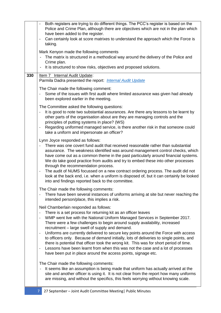|     | Both registers are trying to do different things. The PCC's register is based on the<br>Police and Crime Plan, although there are objectives which are not in the plan which<br>have been added to the register.<br>Can certainly look at score matrixes to understand the approach which the Force is<br>$\overline{\phantom{a}}$<br>taking.<br>Mark Kenyon made the following comments<br>The matrix is structured in a methodical way around the delivery of the Police and<br>Crime plan.<br>It is structured to show risks, objectives and proposed solutions.                                                                                                                                                                                                                                                                                                    |
|-----|------------------------------------------------------------------------------------------------------------------------------------------------------------------------------------------------------------------------------------------------------------------------------------------------------------------------------------------------------------------------------------------------------------------------------------------------------------------------------------------------------------------------------------------------------------------------------------------------------------------------------------------------------------------------------------------------------------------------------------------------------------------------------------------------------------------------------------------------------------------------|
| 330 | Item 7 Internal Audit Update:                                                                                                                                                                                                                                                                                                                                                                                                                                                                                                                                                                                                                                                                                                                                                                                                                                          |
|     | Parmila Dadra presented the report: <i>Internal Audit Update</i>                                                                                                                                                                                                                                                                                                                                                                                                                                                                                                                                                                                                                                                                                                                                                                                                       |
|     | The Chair made the following comment:<br>Some of the issues with first audit where limited assurance was given had already<br>been explored earlier in the meeting.                                                                                                                                                                                                                                                                                                                                                                                                                                                                                                                                                                                                                                                                                                    |
|     | The Committee asked the following questions:<br>It is good to note two substantial assurances. Are there any lessons to be learnt by<br>other parts of the organisation about are they are managing controls and the<br>principles of putting systems in place? (WS)                                                                                                                                                                                                                                                                                                                                                                                                                                                                                                                                                                                                   |
|     | Regarding uniformed managed service, is there another risk in that someone could<br>take a uniform and impersonate an officer?                                                                                                                                                                                                                                                                                                                                                                                                                                                                                                                                                                                                                                                                                                                                         |
|     | Lynn Joyce responded as follows:<br>There was one covert fund audit that received reasonable rather than substantial<br>assurance. The weakness identified was around management control checks, which<br>have come out as a common theme in the past particularly around financial systems.<br>We do take good practice from audits and try to embed these into other processes<br>through the recommendation process.<br>The audit of NUMS focussed on a new contract ordering process. The audit did not<br>$\blacksquare$<br>look at the back end, i.e. when a uniform is disposed of, but it can certainly be looked                                                                                                                                                                                                                                              |
|     | into and findings reported back to the committee.<br>The Chair made the following comments:                                                                                                                                                                                                                                                                                                                                                                                                                                                                                                                                                                                                                                                                                                                                                                            |
|     | There have been several instances of uniforms arriving at site but never reaching the<br>intended person/place, this implies a risk.                                                                                                                                                                                                                                                                                                                                                                                                                                                                                                                                                                                                                                                                                                                                   |
|     | Neil Chamberlain responded as follows:<br>There is a set process for returning kit as an officer leaves<br>WMP went live with the National Uniform Managed Services in September 2017.<br>$\overline{\phantom{m}}$<br>There were a few challenges to begin around supply availability, increased<br>recruitment - large swell of supply and demand.<br>Uniforms are currently delivered to secure key points around the Force with access<br>$\qquad \qquad -$<br>to officers only. Because of demand initially, lots of deliveries to single points, and<br>there is potential that officer took the wrong kit. This was for short period of time.<br>Lessons have been learnt from when this was not the case and a lot of processes<br>$\qquad \qquad -$<br>have been put in place around the access points, signage etc.<br>The Chair made the following comments: |
|     | It seems like an assumption is being made that uniform has actually arrived at the<br>site and another officer is using it. It is not clear from the report how many uniforms<br>are missing, and without the specifics, this feels worrying without knowing scale.                                                                                                                                                                                                                                                                                                                                                                                                                                                                                                                                                                                                    |
|     | 27 September - Joint Audit Committee Meeting   Public Minutes<br>7                                                                                                                                                                                                                                                                                                                                                                                                                                                                                                                                                                                                                                                                                                                                                                                                     |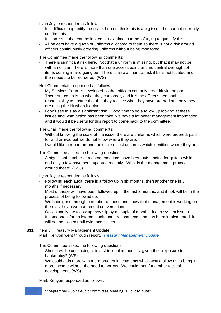|     | Lynn Joyce responded as follow:<br>It is difficult to quantify the scale. I do not think this is a big issue, but cannot currently<br>confirm this.                                                                                                                                                                                                                                                                                                                                                                                                                                                                                                                                                                                     |
|-----|-----------------------------------------------------------------------------------------------------------------------------------------------------------------------------------------------------------------------------------------------------------------------------------------------------------------------------------------------------------------------------------------------------------------------------------------------------------------------------------------------------------------------------------------------------------------------------------------------------------------------------------------------------------------------------------------------------------------------------------------|
|     | It is an issue that can be looked at next time in terms of trying to quantify this.<br>$\overline{\phantom{a}}$<br>All officers have a quota of uniforms allocated to them so there is not a risk around<br>$\qquad \qquad -$<br>officers continuously ordering uniforms without being monitored.                                                                                                                                                                                                                                                                                                                                                                                                                                       |
|     | The Committee made the following comments:<br>There is significant risk here. Not that a uniform is missing, but that it may not be<br>with an officer. There is more than one access point, and no central oversight of<br>items coming in and going out. There is also a financial risk if kit is not located and<br>then needs to be reordered. (WS)                                                                                                                                                                                                                                                                                                                                                                                 |
|     | Neil Chamberlain responded as follows:<br>My Services Portal is developed so that officers can only order kit via the portal.<br>$\blacksquare$<br>There are controls on what they can order, and it is the officer's personal<br>responsibility to ensure that that they receive what they have ordered and only they<br>are using the kit when it arrives.<br>I don't see this as a significant risk. Good time to do a follow up looking at these<br>$\overline{\phantom{a}}$<br>issues and what action has been take, we have a lot better management information<br>and it would it be useful for this report to come back to the committee.                                                                                       |
|     | The Chair made the following comments:<br>Without knowing the scale of the issue, there are uniforms which were ordered, paid<br>for and arrived but we do not know where they are.<br>I would like a report around the scale of lost uniforms which identifies where they are.<br>$\overline{\phantom{a}}$                                                                                                                                                                                                                                                                                                                                                                                                                             |
|     | The Committee asked the following question:<br>A significant number of recommendations have been outstanding for quite a while,<br>$\blacksquare$<br>and only a few have been updated recently. What is the management protocol<br>around these? (GSJ)                                                                                                                                                                                                                                                                                                                                                                                                                                                                                  |
|     | Lynn Joyce responded as follows:<br>Following each audit, there is a follow up in six months, then another one in 3<br>months if necessary.<br>Most of these will have been followed up in the last 3 months, and if not, will be in the<br>$\overline{\phantom{a}}$<br>process of being followed up.<br>We have gone through a number of these and know that management is working on<br>$\qquad \qquad -$<br>them as they have had recent conversations.<br>Occasionally the follow up may slip by a couple of months due to system issues.<br>$\overline{\phantom{a}}$<br>If someone informs internal audit that a recommendation has been implemented, it<br>$\overline{\phantom{a}}$<br>will not be closed until evidence is seen. |
| 331 | <b>Item 8 Treasury Management Update</b><br>Mark Kenyon went through report. Treasury Management Update                                                                                                                                                                                                                                                                                                                                                                                                                                                                                                                                                                                                                                 |
|     | The Committee asked the following questions:<br>Should we be continuing to invest in local authorities, given their exposure to<br>$\overline{\phantom{a}}$<br>bankruptcy? (WS)<br>We could gain more with more prudent investments which would allow us to bring in<br>$\qquad \qquad \blacksquare$<br>more income without the need to borrow. We could then fund other tactical<br>developments (WS).<br>Mark Kenyon responded as follows:                                                                                                                                                                                                                                                                                            |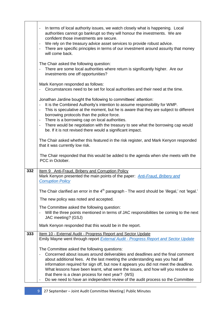|     | In terms of local authority issues, we watch closely what is happening. Local<br>$\overline{\phantom{0}}$<br>authorities cannot go bankrupt so they will honour the investments. We are<br>confident those investments are secure.<br>We rely on the treasury advice asset services to provide robust advice.<br>$\overline{\phantom{a}}$<br>There are specific principles in terms of our investment around assurity that money<br>$\frac{1}{2}$<br>will come back.                                                                                                                   |
|-----|----------------------------------------------------------------------------------------------------------------------------------------------------------------------------------------------------------------------------------------------------------------------------------------------------------------------------------------------------------------------------------------------------------------------------------------------------------------------------------------------------------------------------------------------------------------------------------------|
|     | The Chair asked the following question:<br>There are some local authorities where return is significantly higher. Are our<br>investments one off opportunities?                                                                                                                                                                                                                                                                                                                                                                                                                        |
|     | Mark Kenyon responded as follows:<br>Circumstances need to be set for local authorities and their need at the time.                                                                                                                                                                                                                                                                                                                                                                                                                                                                    |
|     | Jonathan Jardine bought the following to committees' attention:<br>It is the Combined Authority's intention to assume responsibility for WMP.<br>$\overline{\phantom{a}}$<br>This is speculative at the moment, but he is aware that they are subject to different<br>$\qquad \qquad -$<br>borrowing protocols than the police force.<br>There is a borrowing cap on local authorities.<br>$\frac{1}{2}$<br>There would be negotiation with the treasury to see what the borrowing cap would<br>$\overline{\phantom{a}}$<br>be. If it is not revised there would a significant impact. |
|     | The Chair asked whether this featured in the risk register, and Mark Kenyon responded<br>that it was currently low risk.                                                                                                                                                                                                                                                                                                                                                                                                                                                               |
|     | The Chair responded that this would be added to the agenda when she meets with the<br>PCC in October.                                                                                                                                                                                                                                                                                                                                                                                                                                                                                  |
| 332 | Item 9 Anti-Fraud, Bribery and Corruption Policy<br>Mark Kenyon presented the main points of the paper: Anti-Fraud, Bribery and<br><b>Corruption Policy</b>                                                                                                                                                                                                                                                                                                                                                                                                                            |
|     | The Chair clarified an error in the 4 <sup>th</sup> paragraph - The word should be 'illegal,' not 'legal.'                                                                                                                                                                                                                                                                                                                                                                                                                                                                             |
|     | The new policy was noted and accepted.                                                                                                                                                                                                                                                                                                                                                                                                                                                                                                                                                 |
|     | The Committee asked the following question:<br>Will the three points mentioned in terms of JAC responsibilities be coming to the next<br>$\qquad \qquad -$<br>JAC meeting? (GSJ)                                                                                                                                                                                                                                                                                                                                                                                                       |
|     | Mark Kenyon responded that this would be in the report.                                                                                                                                                                                                                                                                                                                                                                                                                                                                                                                                |
| 333 | Item 10 - External Audit - Progress Report and Sector Update<br>Emily Mayne went through report <b>External Audit - Progress Report and Sector Update</b>                                                                                                                                                                                                                                                                                                                                                                                                                              |
|     | The Committee asked the following questions:<br>Concerned about issues around deliverables and deadlines and the final comment<br>$\qquad \qquad -$<br>about additional fees. At the last meeting the understanding was you had all<br>information required for sign off, but now it appears you did not meet the deadline.<br>What lessons have been learnt, what were the issues, and how will you resolve so<br>that there is a clean process for next year? (WS)<br>Do we need to have an independent review of the audit process so the Committee<br>$\qquad \qquad -$            |

Ì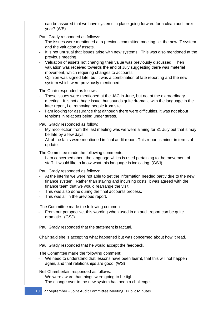can be assured that we have systems in place going forward for a clean audit next year? (WS)

Paul Grady responded as follows:

- The issues were mentioned at a previous committee meeting i.e. the new IT system and the valuation of assets.
- It is not unusual that issues arise with new systems. This was also mentioned at the previous meeting.
- Valuation of assets not changing their value was previously discussed. Then valuation was received towards the end of July suggesting there was material movement, which requiring changes to accounts.
- Opinion was signed late, but it was a combination of late reporting and the new system which were previously mentioned.

The Chair responded as follows:

- These issues were mentioned at the JAC in June, but not at the extraordinary meeting. It is not a huge issue, but sounds quite dramatic with the language in the later report, i.e. removing people from site.
- I am looking for assurance that although there were difficulties, it was not about tensions in relations being under stress.

Paul Grady responded as follow:

- My recollection from the last meeting was we were aiming for 31 July but that it may be late by a few days.
- All of the facts were mentioned in final audit report. This report is minor in terms of update.

The Committee made the following comments:

- I am concerned about the language which is used pertaining to the movement of staff. I would like to know what this language is indicating. (GSJ)

Paul Grady responded as follows:

- At the interim we were not able to get the information needed partly due to the new finance system. Rather than staying and incurring costs, it was agreed with the finance team that we would rearrange the visit.
- This was also done during the final accounts process.
- This was all in the previous report.

The Committee made the following comment:

- From our perspective, this wording when used in an audit report can be quite dramatic. (GSJ)

Paul Grady responded that the statement is factual.

Chair said she is accepting what happened but was concerned about how it read.

Paul Grady responded that he would accept the feedback.

The Committee made the following comment:

We need to understand that lessons have been learnt, that this will not happen again, and that relationships are good. (WS)

Neil Chamberlain responded as follows:

- We were aware that things were going to be tight.
- The change over to the new system has been a challenge.